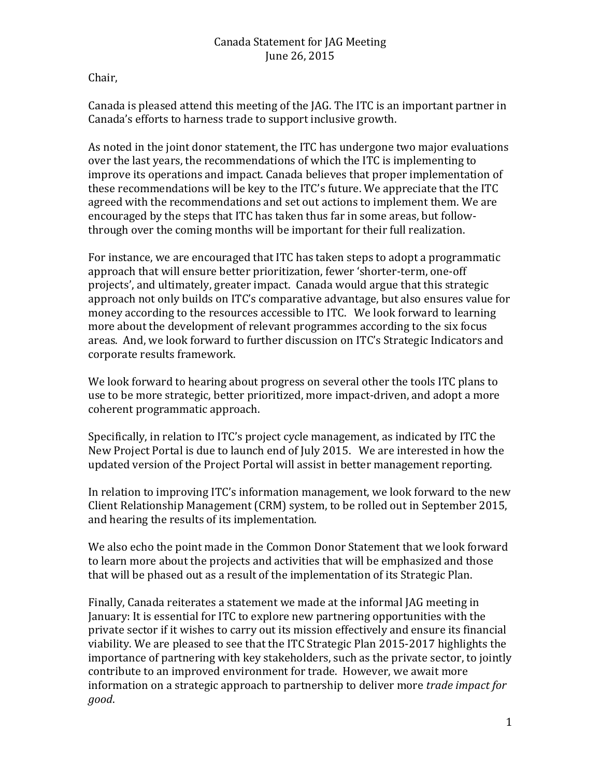Chair,

Canada is pleased attend this meeting of the JAG. The ITC is an important partner in Canada's efforts to harness trade to support inclusive growth.

As noted in the joint donor statement, the ITC has undergone two major evaluations over the last years, the recommendations of which the ITC is implementing to improve its operations and impact. Canada believes that proper implementation of these recommendations will be key to the ITC's future. We appreciate that the ITC agreed with the recommendations and set out actions to implement them. We are encouraged by the steps that ITC has taken thus far in some areas, but followthrough over the coming months will be important for their full realization.

For instance, we are encouraged that ITC has taken steps to adopt a programmatic approach that will ensure better prioritization, fewer 'shorter-term, one-off projects', and ultimately, greater impact. Canada would argue that this strategic approach not only builds on ITC's comparative advantage, but also ensures value for money according to the resources accessible to ITC. We look forward to learning more about the development of relevant programmes according to the six focus areas. And, we look forward to further discussion on ITC's Strategic Indicators and corporate results framework.

We look forward to hearing about progress on several other the tools ITC plans to use to be more strategic, better prioritized, more impact-driven, and adopt a more coherent programmatic approach.

Specifically, in relation to ITC's project cycle management, as indicated by ITC the New Project Portal is due to launch end of July 2015. We are interested in how the updated version of the Project Portal will assist in better management reporting.

In relation to improving ITC's information management, we look forward to the new Client Relationship Management (CRM) system, to be rolled out in September 2015, and hearing the results of its implementation.

We also echo the point made in the Common Donor Statement that we look forward to learn more about the projects and activities that will be emphasized and those that will be phased out as a result of the implementation of its Strategic Plan.

Finally, Canada reiterates a statement we made at the informal JAG meeting in January: It is essential for ITC to explore new partnering opportunities with the private sector if it wishes to carry out its mission effectively and ensure its financial viability. We are pleased to see that the ITC Strategic Plan 2015-2017 highlights the importance of partnering with key stakeholders, such as the private sector, to jointly contribute to an improved environment for trade. However, we await more information on a strategic approach to partnership to deliver more *trade impact for good*.